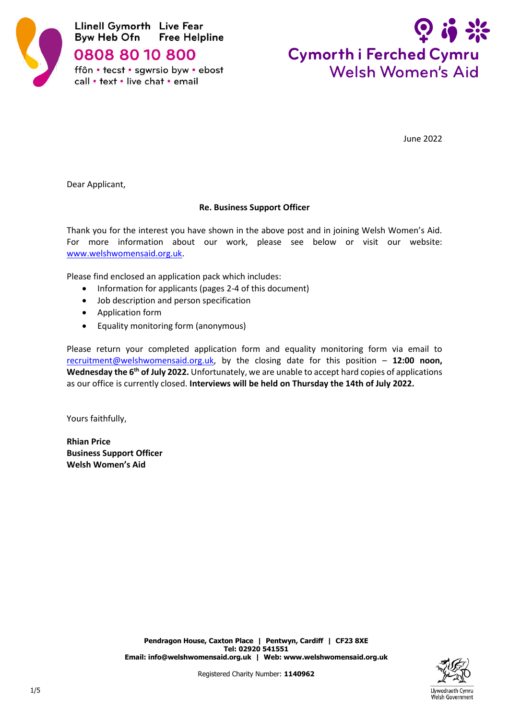

0808 80 10 800

ffôn • tecst • sgwrsio byw • ebost call • text • live chat • email



June 2022

Dear Applicant,

# **Re. Business Support Officer**

Thank you for the interest you have shown in the above post and in joining Welsh Women's Aid. For more information about our work, please see below or visit our website: [www.welshwomensaid.org.uk.](http://www.welshwomensaid.org.uk/)

Please find enclosed an application pack which includes:

- Information for applicants (pages 2-4 of this document)
- Job description and person specification
- Application form
- Equality monitoring form (anonymous)

Please return your completed application form and equality monitoring form via email to [recruitment@welshwomensaid.org.uk,](mailto:recruitment@welshwomensaid.org.uk) by the closing date for this position – **12:00 noon, Wednesday the 6th of July 2022.** Unfortunately, we are unable to accept hard copies of applications as our office is currently closed. **Interviews will be held on Thursday the 14th of July 2022.**

Yours faithfully,

**Rhian Price Business Support Officer Welsh Women's Aid**

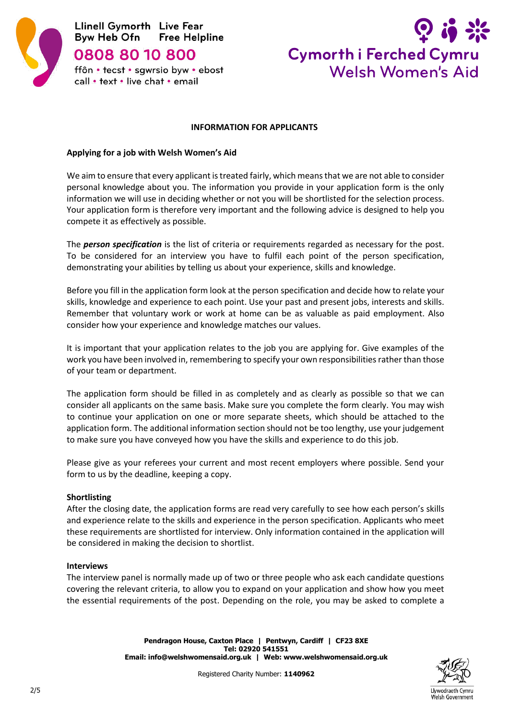



## **INFORMATION FOR APPLICANTS**

## **Applying for a job with Welsh Women's Aid**

We aim to ensure that every applicant is treated fairly, which means that we are not able to consider personal knowledge about you. The information you provide in your application form is the only information we will use in deciding whether or not you will be shortlisted for the selection process. Your application form is therefore very important and the following advice is designed to help you compete it as effectively as possible.

The *person specification* is the list of criteria or requirements regarded as necessary for the post. To be considered for an interview you have to fulfil each point of the person specification, demonstrating your abilities by telling us about your experience, skills and knowledge.

Before you fill in the application form look at the person specification and decide how to relate your skills, knowledge and experience to each point. Use your past and present jobs, interests and skills. Remember that voluntary work or work at home can be as valuable as paid employment. Also consider how your experience and knowledge matches our values.

It is important that your application relates to the job you are applying for. Give examples of the work you have been involved in, remembering to specify your own responsibilities rather than those of your team or department.

The application form should be filled in as completely and as clearly as possible so that we can consider all applicants on the same basis. Make sure you complete the form clearly. You may wish to continue your application on one or more separate sheets, which should be attached to the application form. The additional information section should not be too lengthy, use your judgement to make sure you have conveyed how you have the skills and experience to do this job.

Please give as your referees your current and most recent employers where possible. Send your form to us by the deadline, keeping a copy.

#### **Shortlisting**

After the closing date, the application forms are read very carefully to see how each person's skills and experience relate to the skills and experience in the person specification. Applicants who meet these requirements are shortlisted for interview. Only information contained in the application will be considered in making the decision to shortlist.

#### **Interviews**

The interview panel is normally made up of two or three people who ask each candidate questions covering the relevant criteria, to allow you to expand on your application and show how you meet the essential requirements of the post. Depending on the role, you may be asked to complete a

> **Pendragon House, Caxton Place | Pentwyn, Cardiff | CF23 8XE Tel: 02920 541551 Email[: info@welshwomensaid.org.uk](mailto:info@welshwomensaid.org.uk) | Web: [www.welshwomensaid.org.](http://www.welshwomensaid.org/)uk**



Registered Charity Number: **1140962**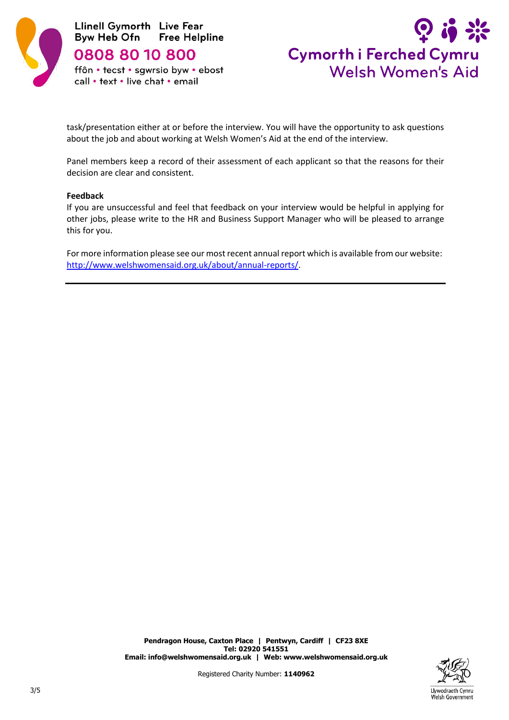

0808 80 10 800

ffôn • tecst • sgwrsio byw • ebost call • text • live chat • email



task/presentation either at or before the interview. You will have the opportunity to ask questions about the job and about working at Welsh Women's Aid at the end of the interview.

Panel members keep a record of their assessment of each applicant so that the reasons for their decision are clear and consistent.

#### **Feedback**

If you are unsuccessful and feel that feedback on your interview would be helpful in applying for other jobs, please write to the HR and Business Support Manager who will be pleased to arrange this for you.

For more information please see our most recent annual report which is available from our website: [http://www.welshwomensaid.org.uk/about/annual-reports/.](http://www.welshwomensaid.org.uk/about/annual-reports/)

Registered Charity Number: **1140962**

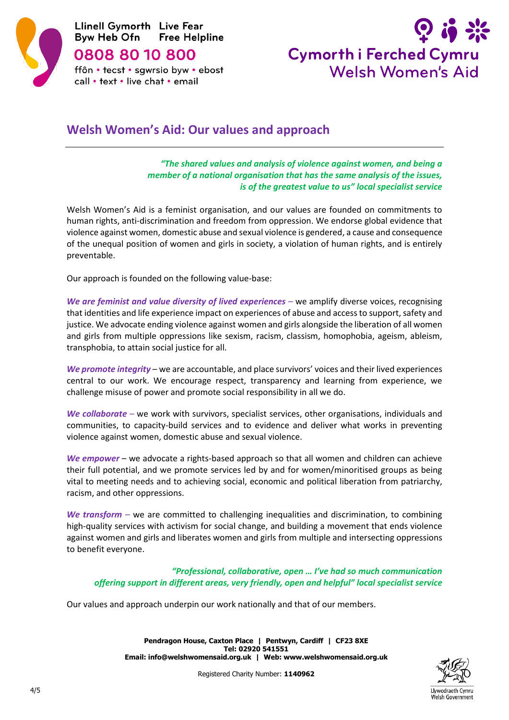

0808 80 10 800

ffôn • tecst • sgwrsio byw • ebost call • text • live chat • email



# **Welsh Women's Aid: Our values and approach**

*"The shared values and analysis of violence against women, and being a member of a national organisation that has the same analysis of the issues, is of the greatest value to us" local specialist service*

Welsh Women's Aid is a feminist organisation, and our values are founded on commitments to human rights, anti-discrimination and freedom from oppression. We endorse global evidence that violence against women, domestic abuse and sexual violence is gendered, a cause and consequence of the unequal position of women and girls in society, a violation of human rights, and is entirely preventable.

Our approach is founded on the following value-base:

*We are feminist and value diversity of lived experiences* – we amplify diverse voices, recognising that identities and life experience impact on experiences of abuse and access to support, safety and justice. We advocate ending violence against women and girls alongside the liberation of all women and girls from multiple oppressions like sexism, racism, classism, homophobia, ageism, ableism, transphobia, to attain social justice for all.

*We promote integrity* – we are accountable, and place survivors' voices and their lived experiences central to our work. We encourage respect, transparency and learning from experience, we challenge misuse of power and promote social responsibility in all we do.

*We collaborate* – we work with survivors, specialist services, other organisations, individuals and communities, to capacity-build services and to evidence and deliver what works in preventing violence against women, domestic abuse and sexual violence.

*We empower* – we advocate a rights-based approach so that all women and children can achieve their full potential, and we promote services led by and for women/minoritised groups as being vital to meeting needs and to achieving social, economic and political liberation from patriarchy, racism, and other oppressions.

*We transform* – we are committed to challenging inequalities and discrimination, to combining high-quality services with activism for social change, and building a movement that ends violence against women and girls and liberates women and girls from multiple and intersecting oppressions to benefit everyone.

*"Professional, collaborative, open … I've had so much communication offering support in different areas, very friendly, open and helpful" local specialist service*

Our values and approach underpin our work nationally and that of our members.



**Pendragon House, Caxton Place | Pentwyn, Cardiff | CF23 8XE Tel: 02920 541551 Email[: info@welshwomensaid.org.uk](mailto:info@welshwomensaid.org.uk) | Web: [www.welshwomensaid.org.](http://www.welshwomensaid.org/)uk**

Registered Charity Number: **1140962**